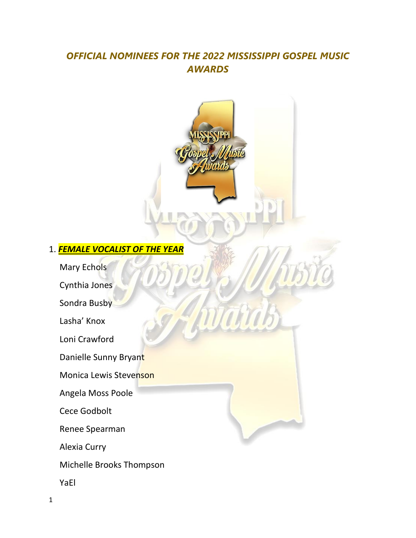# *OFFICIAL NOMINEES FOR THE 2022 MISSISSIPPI GOSPEL MUSIC AWARDS*



YaEl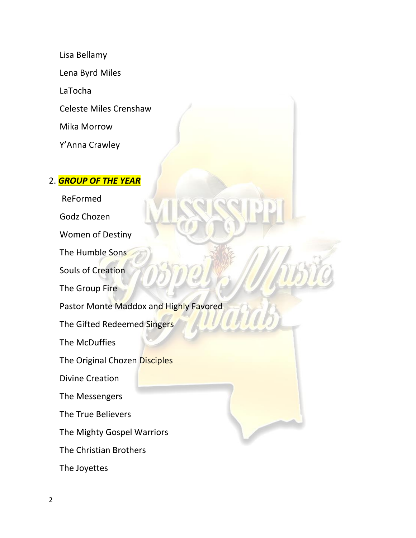Lisa Bellamy Lena Byrd Miles LaTocha Celeste Miles Crenshaw Mika Morrow Y'Anna Crawley

#### 2. *GROUP OF THE YEAR*

 ReFormed Godz Chozen Women of Destiny The Humble Sons Souls of Creation The Group Fire Pastor Monte Maddox and Highly Favored The Gifted Redeemed Singers The McDuffies The Original Chozen Disciples Divine Creation The Messengers The True Believers The Mighty Gospel Warriors The Christian Brothers

The Joyettes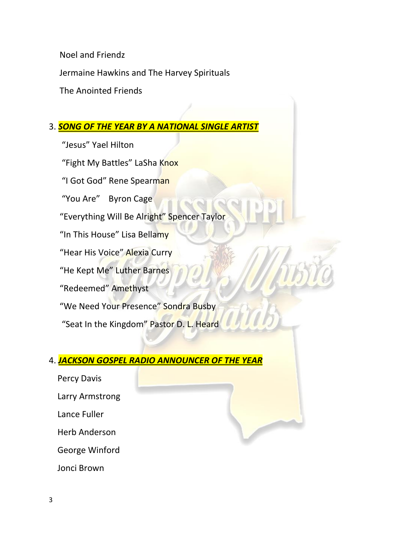Noel and Friendz

Jermaine Hawkins and The Harvey Spirituals

The Anointed Friends

### 3. *SONG OF THE YEAR BY A NATIONAL SINGLE ARTIST*

 "Jesus" Yael Hilton "Fight My Battles" LaSha Knox "I Got God" Rene Spearman "You Are" Byron Cage "Everything Will Be Alright" Spencer Taylor "In This House" Lisa Bellamy "Hear His Voice" Alexia Curry "He Kept Me" Luther Barnes "Redeemed" Amethyst "We Need Your Presence" Sondra Busby "Seat In the Kingdom" Pastor D. L. Heard

## 4. *JACKSON GOSPEL RADIO ANNOUNCER OF THE YEAR*

 Percy Davis Larry Armstrong Lance Fuller Herb Anderson George Winford Jonci Brown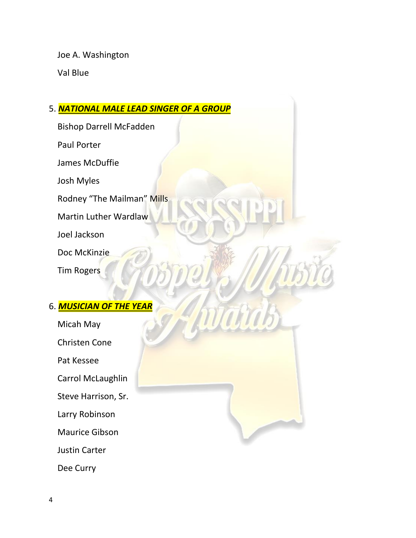Joe A. Washington

Val Blue

## 5. *NATIONAL MALE LEAD SINGER OF A GROUP*

Tarra

Bishop Darrell McFadden

Paul Porter

James McDuffie

Josh Myles

Rodney "The Mailman" Mills

Martin Luther Wardlaw

Joel Jackson

Doc McKinzie

Tim Rogers

## 6. *MUSICIAN OF THE YEAR*

 Micah May Christen Cone Pat Kessee Carrol McLaughlin Steve Harrison, Sr. Larry Robinson Maurice Gibson Justin Carter

Dee Curry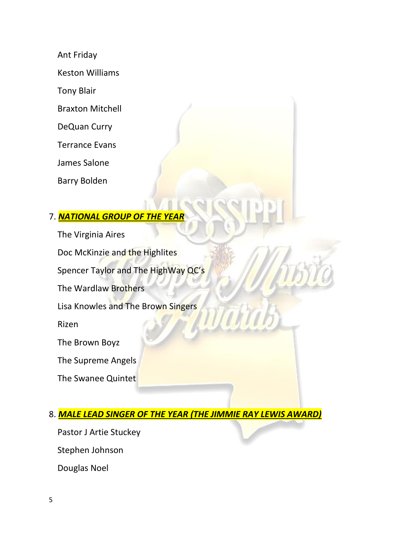Ant Friday

Keston Williams

Tony Blair

Braxton Mitchell

DeQuan Curry

Terrance Evans

James Salone

Barry Bolden

## 7. *NATIONAL GROUP OF THE YEAR*

 The Virginia Aires Doc McKinzie and the Highlites Spencer Taylor and The HighWay QC's The Wardlaw Brothers Lisa Knowles and The Brown Singers Rizen The Brown Boyz The Supreme Angels The Swanee Quintet

## 8. *MALE LEAD SINGER OF THE YEAR (THE JIMMIE RAY LEWIS AWARD)*

TOW

 Pastor J Artie Stuckey Stephen Johnson Douglas Noel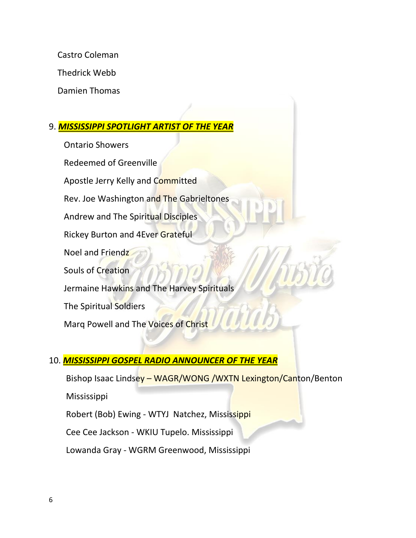Castro Coleman

Thedrick Webb

Damien Thomas

#### 9. *MISSISSIPPI SPOTLIGHT ARTIST OF THE YEAR*

 Ontario Showers Redeemed of Greenville Apostle Jerry Kelly and Committed Rev. Joe Washington and The Gabrieltones Andrew and The Spiritual Disciples Rickey Burton and 4Ever Grateful Noel and Friendz Souls of Creation Jermaine Hawkins and The Harvey Spirituals The Spiritual Soldiers Marq Powell and The Voices of Christ

## 10. *MISSISSIPPI GOSPEL RADIO ANNOUNCER OF THE YEAR*

Bishop Isaac Lindsey – WAGR/WONG /WXTN Lexington/Canton/Benton

Mississippi

Robert (Bob) Ewing - WTYJ Natchez, Mississippi

Cee Cee Jackson - WKIU Tupelo. Mississippi

Lowanda Gray - WGRM Greenwood, Mississippi